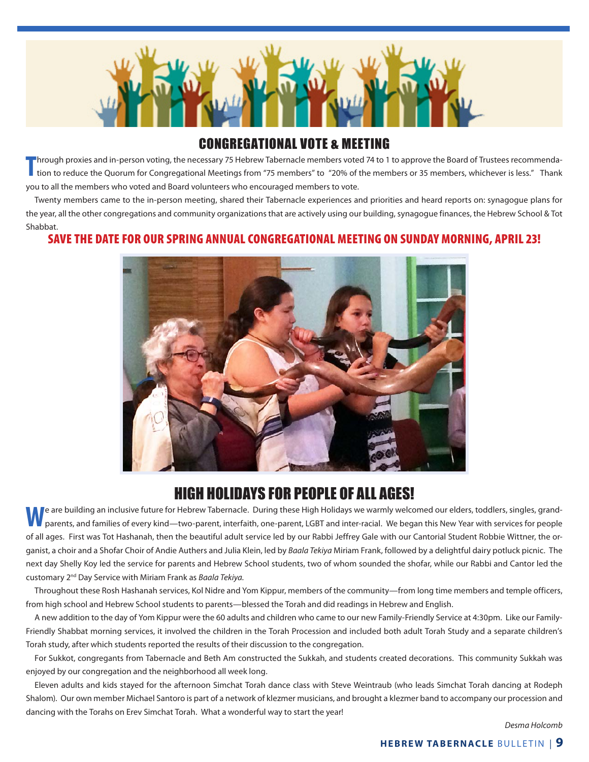

### CONGREGATIONAL VOTE & MEETING

**T** hrough proxies and in-person voting, the necessary 75 Hebrew Tabernacle members voted 74 to 1 to approve the Board of Trustees recommendation to reduce the Quorum for Congregational Meetings from "75 members" to "20% of the members or 35 members, whichever is less." Thank you to all the members who voted and Board volunteers who encouraged members to vote.

Twenty members came to the in-person meeting, shared their Tabernacle experiences and priorities and heard reports on: synagogue plans for the year, all the other congregations and community organizations that are actively using our building, synagogue finances, the Hebrew School & Tot Shabbat.

#### SAVE THE DATE FOR OUR SPRING ANNUAL CONGREGATIONAL MEETING ON SUNDAY MORNING, APRIL 23!



## HIGH HOLIDAYS FOR PEOPLE OF ALL AGES!

**W**e are building an inclusive future for Hebrew Tabernacle. During these High Holidays we warmly welcomed our elders, toddlers, singles, grandparents, and families of every kind—two-parent, interfaith, one-parent, LGBT and inter-racial. We began this New Year with services for people of all ages. First was Tot Hashanah, then the beautiful adult service led by our Rabbi Jeffrey Gale with our Cantorial Student Robbie Wittner, the organist, a choir and a Shofar Choir of Andie Authers and Julia Klein, led by *Baala Tekiya* Miriam Frank, followed by a delightful dairy potluck picnic. The next day Shelly Koy led the service for parents and Hebrew School students, two of whom sounded the shofar, while our Rabbi and Cantor led the customary 2nd Day Service with Miriam Frank as *Baala Tekiya.*

Throughout these Rosh Hashanah services, Kol Nidre and Yom Kippur, members of the community—from long time members and temple officers, from high school and Hebrew School students to parents—blessed the Torah and did readings in Hebrew and English.

A new addition to the day of Yom Kippur were the 60 adults and children who came to our new Family-Friendly Service at 4:30pm. Like our Family-Friendly Shabbat morning services, it involved the children in the Torah Procession and included both adult Torah Study and a separate children's Torah study, after which students reported the results of their discussion to the congregation.

For Sukkot, congregants from Tabernacle and Beth Am constructed the Sukkah, and students created decorations. This community Sukkah was enjoyed by our congregation and the neighborhood all week long.

Eleven adults and kids stayed for the afternoon Simchat Torah dance class with Steve Weintraub (who leads Simchat Torah dancing at Rodeph Shalom). Our own member Michael Santoro is part of a network of klezmer musicians, and brought a klezmer band to accompany our procession and dancing with the Torahs on Erev Simchat Torah. What a wonderful way to start the year!

*Desma Holcomb*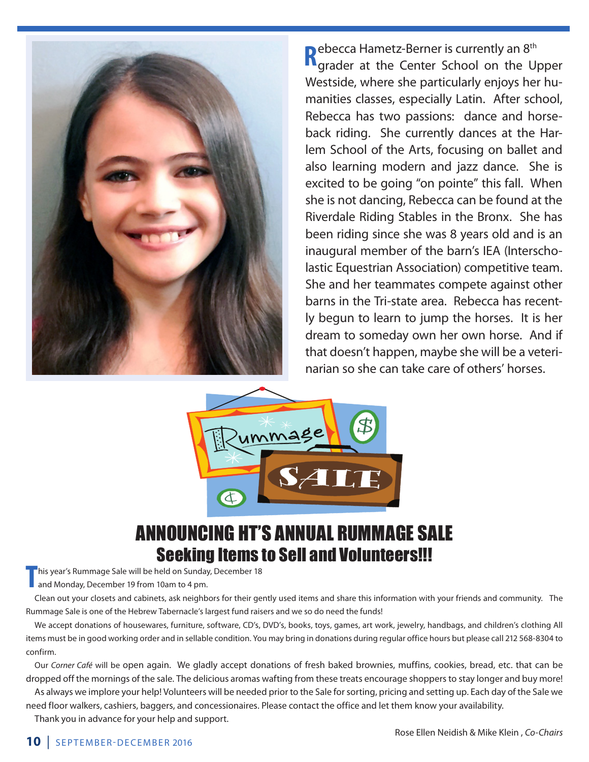

ebecca Hametz-Berner is currently an 8<sup>th</sup> Rebecca Hametz-Berner is currently an 8<sup>th</sup> grader at the Center School on the Upper Westside, where she particularly enjoys her humanities classes, especially Latin. After school, Rebecca has two passions: dance and horseback riding. She currently dances at the Harlem School of the Arts, focusing on ballet and also learning modern and jazz dance. She is excited to be going "on pointe" this fall. When she is not dancing, Rebecca can be found at the Riverdale Riding Stables in the Bronx. She has been riding since she was 8 years old and is an inaugural member of the barn's IEA (Interscholastic Equestrian Association) competitive team. She and her teammates compete against other barns in the Tri-state area. Rebecca has recently begun to learn to jump the horses. It is her dream to someday own her own horse. And if that doesn't happen, maybe she will be a veterinarian so she can take care of others' horses.



## ANNOUNCING HT'S ANNUAL RUMMAGE SALE Seeking Items to Sell and Volunteers!!!

**T** his year's Rummage Sale will be held on Sunday, December 18<br>
and Monday, December 19 from 10am to 4 pm. and Monday, December 19 from 10am to 4 pm.

Clean out your closets and cabinets, ask neighbors for their gently used items and share this information with your friends and community. The Rummage Sale is one of the Hebrew Tabernacle's largest fund raisers and we so do need the funds!

We accept donations of housewares, furniture, software, CD's, DVD's, books, toys, games, art work, jewelry, handbags, and children's clothing All items must be in good working order and in sellable condition. You may bring in donations during regular office hours but please call 212 568-8304 to confirm.

Our *Corner Café* will be open again. We gladly accept donations of fresh baked brownies, muffins, cookies, bread, etc. that can be dropped off the mornings of the sale. The delicious aromas wafting from these treats encourage shoppers to stay longer and buy more!

As always we implore your help! Volunteers will be needed prior to the Sale for sorting, pricing and setting up. Each day of the Sale we need floor walkers, cashiers, baggers, and concessionaires. Please contact the office and let them know your availability.

Thank you in advance for your help and support.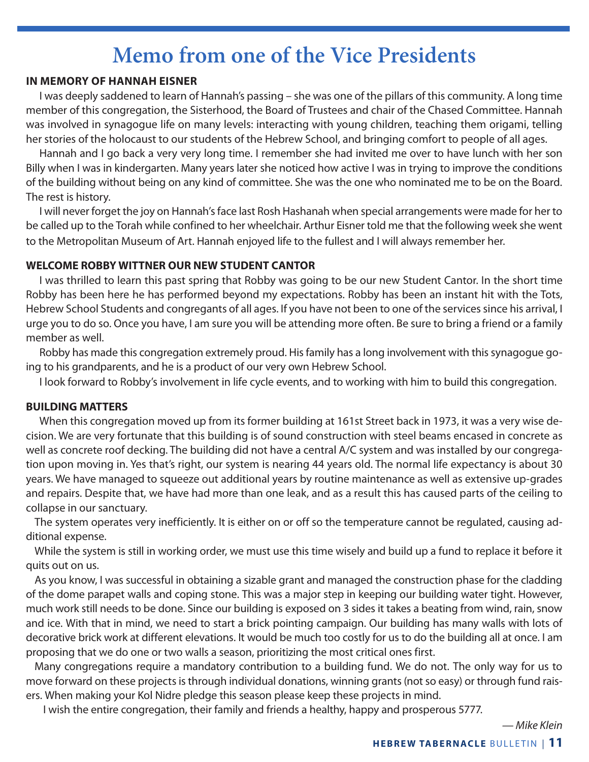# **Memo from one of the Vice Presidents**

#### **IN MEMORY OF HANNAH EISNER**

I was deeply saddened to learn of Hannah's passing – she was one of the pillars of this community. A long time member of this congregation, the Sisterhood, the Board of Trustees and chair of the Chased Committee. Hannah was involved in synagogue life on many levels: interacting with young children, teaching them origami, telling her stories of the holocaust to our students of the Hebrew School, and bringing comfort to people of all ages.

Hannah and I go back a very very long time. I remember she had invited me over to have lunch with her son Billy when I was in kindergarten. Many years later she noticed how active I was in trying to improve the conditions of the building without being on any kind of committee. She was the one who nominated me to be on the Board. The rest is history.

I will never forget the joy on Hannah's face last Rosh Hashanah when special arrangements were made for her to be called up to the Torah while confined to her wheelchair. Arthur Eisner told me that the following week she went to the Metropolitan Museum of Art. Hannah enjoyed life to the fullest and I will always remember her.

#### **WELCOME ROBBY WITTNER OUR NEW STUDENT CANTOR**

I was thrilled to learn this past spring that Robby was going to be our new Student Cantor. In the short time Robby has been here he has performed beyond my expectations. Robby has been an instant hit with the Tots, Hebrew School Students and congregants of all ages. If you have not been to one of the services since his arrival, I urge you to do so. Once you have, I am sure you will be attending more often. Be sure to bring a friend or a family member as well.

Robby has made this congregation extremely proud. His family has a long involvement with this synagogue going to his grandparents, and he is a product of our very own Hebrew School.

I look forward to Robby's involvement in life cycle events, and to working with him to build this congregation.

#### **BUILDING MATTERS**

When this congregation moved up from its former building at 161st Street back in 1973, it was a very wise decision. We are very fortunate that this building is of sound construction with steel beams encased in concrete as well as concrete roof decking. The building did not have a central A/C system and was installed by our congregation upon moving in. Yes that's right, our system is nearing 44 years old. The normal life expectancy is about 30 years. We have managed to squeeze out additional years by routine maintenance as well as extensive up-grades and repairs. Despite that, we have had more than one leak, and as a result this has caused parts of the ceiling to collapse in our sanctuary.

The system operates very inefficiently. It is either on or off so the temperature cannot be regulated, causing additional expense.

While the system is still in working order, we must use this time wisely and build up a fund to replace it before it quits out on us.

As you know, I was successful in obtaining a sizable grant and managed the construction phase for the cladding of the dome parapet walls and coping stone. This was a major step in keeping our building water tight. However, much work still needs to be done. Since our building is exposed on 3 sides it takes a beating from wind, rain, snow and ice. With that in mind, we need to start a brick pointing campaign. Our building has many walls with lots of decorative brick work at different elevations. It would be much too costly for us to do the building all at once. I am proposing that we do one or two walls a season, prioritizing the most critical ones first.

Many congregations require a mandatory contribution to a building fund. We do not. The only way for us to move forward on these projects is through individual donations, winning grants (not so easy) or through fund raisers. When making your Kol Nidre pledge this season please keep these projects in mind.

I wish the entire congregation, their family and friends a healthy, happy and prosperous 5777.

*— Mike Klein*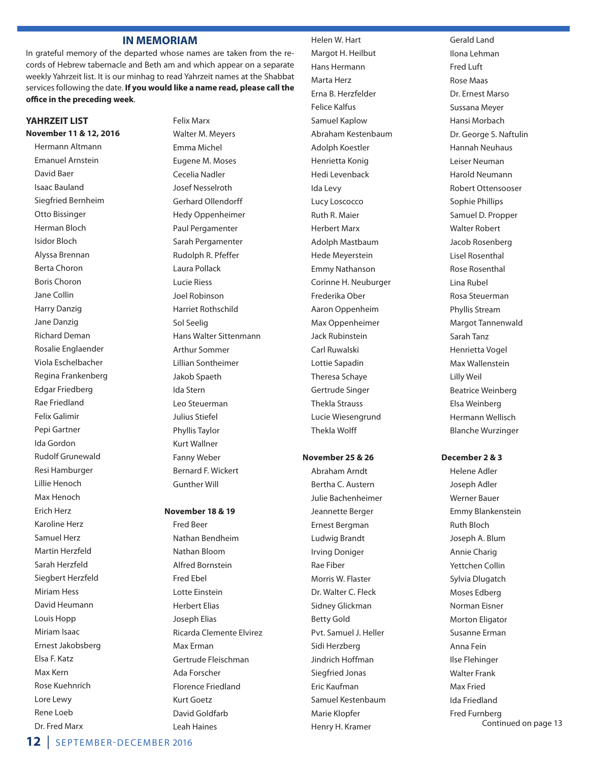#### **IN MEMORIAM**

In grateful memory of the departed whose names are taken from the records of Hebrew tabernacle and Beth am and which appear on a separate weekly Yahrzeit list. It is our minhag to read Yahrzeit names at the Shabbat services following the date. **If you would like a name read, please call the office in the preceding week**.

#### **YAHRZEIT LIST November 11 & 12, 2016**

Hermann Altmann Emanuel Arnstein David Baer Isaac Bauland Siegfried Bernheim Otto Bissinger Herman Bloch Isidor Bloch Alyssa Brennan Berta Choron Boris Choron Jane Collin Harry Danzig Jane Danzig Richard Deman Rosalie Englaender Viola Eschelbacher Regina Frankenberg Edgar Friedberg Rae Friedland Felix Galimir Pepi Gartner Ida Gordon Rudolf Grunewald Resi Hamburger Lillie Henoch Max Henoch Erich Herz Karoline Herz Samuel Herz Martin Herzfeld Sarah Herzfeld Siegbert Herzfeld Miriam Hess David Heumann Louis Hopp Miriam Isaac Ernest Jakobsberg Elsa F. Katz Max Kern Rose Kuehnrich Lore Lewy Rene Loeb Dr. Fred Marx

Felix Marx Walter M. Meyers Emma Michel Eugene M. Moses Cecelia Nadler Josef Nesselroth Gerhard Ollendorff Hedy Oppenheimer Paul Pergamenter Sarah Pergamenter Rudolph R. Pfeffer Laura Pollack Lucie Riess Joel Robinson Harriet Rothschild Sol Seelig Hans Walter Sittenmann Arthur Sommer Lillian Sontheimer Jakob Spaeth Ida Stern Leo Steuerman Julius Stiefel Phyllis Taylor Kurt Wallner Fanny Weber Bernard F. Wickert Gunther Will

#### **November 18 & 19** Fred Beer Nathan Bendheim Nathan Bloom Alfred Bornstein Fred Ebel Lotte Einstein Herbert Elias Joseph Elias Ricarda Clemente Elvirez Max Erman Gertrude Fleischman Ada Forscher Florence Friedland Kurt Goetz David Goldfarb Leah Haines

 Margot H. Heilbut Hans Hermann Marta Herz Erna B. Herzfelder Felice Kalfus Samuel Kaplow Abraham Kestenbaum Adolph Koestler Henrietta Konig Hedi Levenback Ida Levy Lucy Loscocco Ruth R. Maier Herbert Marx Adolph Mastbaum Hede Meyerstein Emmy Nathanson Corinne H. Neuburger Frederika Ober Aaron Oppenheim Max Oppenheimer Jack Rubinstein Carl Ruwalski Lottie Sapadin Theresa Schaye Gertrude Singer Thekla Strauss Lucie Wiesengrund Thekla Wolff

Helen W. Hart

#### **November 25 & 26**

Abraham Arndt Bertha C. Austern Julie Bachenheimer Jeannette Berger Ernest Bergman Ludwig Brandt Irving Doniger Rae Fiber Morris W. Flaster Dr. Walter C. Fleck Sidney Glickman Betty Gold Pvt. Samuel J. Heller Sidi Herzberg Jindrich Hoffman Siegfried Jonas Eric Kaufman Samuel Kestenbaum Marie Klopfer Henry H. Kramer

Gerald Land Ilona Lehman Fred Luft Rose Maas Dr. Ernest Marso Sussana Meyer Hansi Morbach Dr. George S. Naftulin Hannah Neuhaus Leiser Neuman Harold Neumann Robert Ottensooser Sophie Phillips Samuel D. Propper Walter Robert Jacob Rosenberg Lisel Rosenthal Rose Rosenthal Lina Rubel Rosa Steuerman Phyllis Stream Margot Tannenwald Sarah Tanz Henrietta Vogel Max Wallenstein Lilly Weil Beatrice Weinberg Elsa Weinberg Hermann Wellisch Blanche Wurzinger

#### **December 2 & 3**

Helene Adler Joseph Adler Werner Bauer Emmy Blankenstein Ruth Bloch Joseph A. Blum Annie Charig Yettchen Collin Sylvia Dlugatch Moses Edberg Norman Eisner Morton Eligator Susanne Erman Anna Fein Ilse Flehinger Walter Frank Max Fried Ida Friedland Fred Furnberg Continued on page 13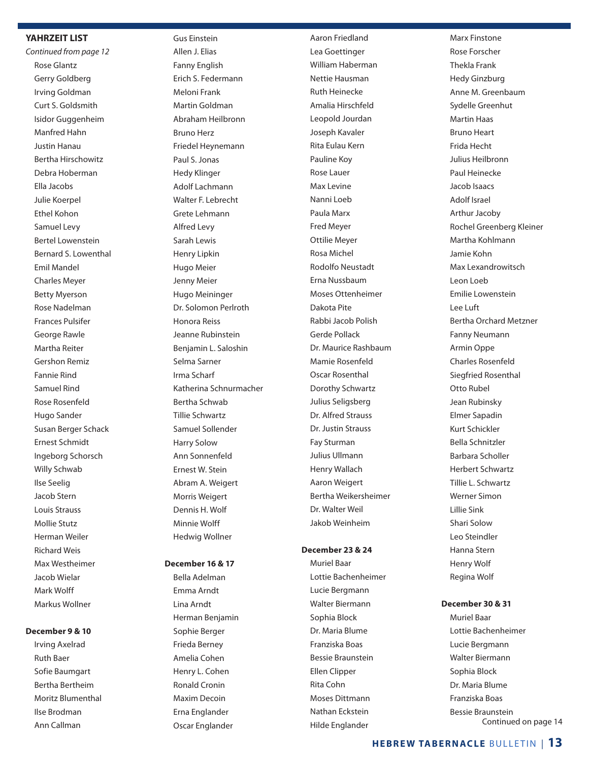#### **YAHRZEIT LIST**

*Continued from page 12* Rose Glantz Gerry Goldberg Irving Goldman Curt S. Goldsmith Isidor Guggenheim Manfred Hahn Justin Hanau Bertha Hirschowitz Debra Hoberman Ella Jacobs Julie Koerpel Ethel Kohon Samuel Levy Bertel Lowenstein Bernard S. Lowenthal Emil Mandel Charles Meyer Betty Myerson Rose Nadelman Frances Pulsifer George Rawle Martha Reiter Gershon Remiz Fannie Rind Samuel Rind Rose Rosenfeld Hugo Sander Susan Berger Schack Ernest Schmidt Ingeborg Schorsch Willy Schwab Ilse Seelig Jacob Stern Louis Strauss Mollie Stutz Herman Weiler Richard Weis Max Westheimer Jacob Wielar Mark Wolff Markus Wollner

#### **December 9 & 10**

 Irving Axelrad Ruth Baer Sofie Baumgart Bertha Bertheim Moritz Blumenthal Ilse Brodman Ann Callman

Gus Einstein Allen J. Elias Fanny English Erich S. Federmann Meloni Frank Martin Goldman Abraham Heilbronn Bruno Herz Friedel Heynemann Paul S. Jonas Hedy Klinger Adolf Lachmann Walter F. Lebrecht Grete Lehmann Alfred Levy Sarah Lewis Henry Lipkin Hugo Meier Jenny Meier Hugo Meininger Dr. Solomon Perlroth Honora Reiss Jeanne Rubinstein Benjamin L. Saloshin Selma Sarner Irma Scharf Katherina Schnurmacher Bertha Schwab Tillie Schwartz Samuel Sollender Harry Solow Ann Sonnenfeld Ernest W. Stein Abram A. Weigert Morris Weigert Dennis H. Wolf Minnie Wolff Hedwig Wollner

#### **December 16 & 17**

 Bella Adelman Emma Arndt Lina Arndt Herman Benjamin Sophie Berger Frieda Berney Amelia Cohen Henry L. Cohen Ronald Cronin Maxim Decoin Erna Englander Oscar Englander

Aaron Friedland Lea Goettinger William Haberman Nettie Hausman Ruth Heinecke Amalia Hirschfeld Leopold Jourdan Joseph Kavaler Rita Eulau Kern Pauline Koy Rose Lauer Max Levine Nanni Loeb Paula Marx Fred Meyer Ottilie Meyer Rosa Michel Rodolfo Neustadt Erna Nussbaum Moses Ottenheimer Dakota Pite Rabbi Jacob Polish Gerde Pollack Dr. Maurice Rashbaum Mamie Rosenfeld Oscar Rosenthal Dorothy Schwartz Julius Seligsberg Dr. Alfred Strauss Dr. Justin Strauss Fay Sturman Julius Ullmann Henry Wallach Aaron Weigert Bertha Weikersheimer Dr. Walter Weil Jakob Weinheim

#### **December 23 & 24**

Muriel Baar Lottie Bachenheimer Lucie Bergmann Walter Biermann Sophia Block Dr. Maria Blume Franziska Boas Bessie Braunstein Ellen Clipper Rita Cohn Moses Dittmann Nathan Eckstein Hilde Englander

Marx Finstone Rose Forscher Thekla Frank Hedy Ginzburg Anne M. Greenbaum Sydelle Greenhut Martin Haas Bruno Heart Frida Hecht Julius Heilbronn Paul Heinecke Jacob Isaacs Adolf Israel Arthur Jacoby Rochel Greenberg Kleiner Martha Kohlmann Jamie Kohn Max Lexandrowitsch Leon Loeb Emilie Lowenstein Lee Luft Bertha Orchard Metzner Fanny Neumann Armin Oppe Charles Rosenfeld Siegfried Rosenthal Otto Rubel Jean Rubinsky Elmer Sapadin Kurt Schickler Bella Schnitzler Barbara Scholler Herbert Schwartz Tillie L. Schwartz Werner Simon Lillie Sink Shari Solow Leo Steindler Hanna Stern Henry Wolf Regina Wolf

#### **December 30 & 31**

Muriel Baar Lottie Bachenheimer Lucie Bergmann Walter Biermann Sophia Block Dr. Maria Blume Franziska Boas Bessie Braunstein Continued on page 14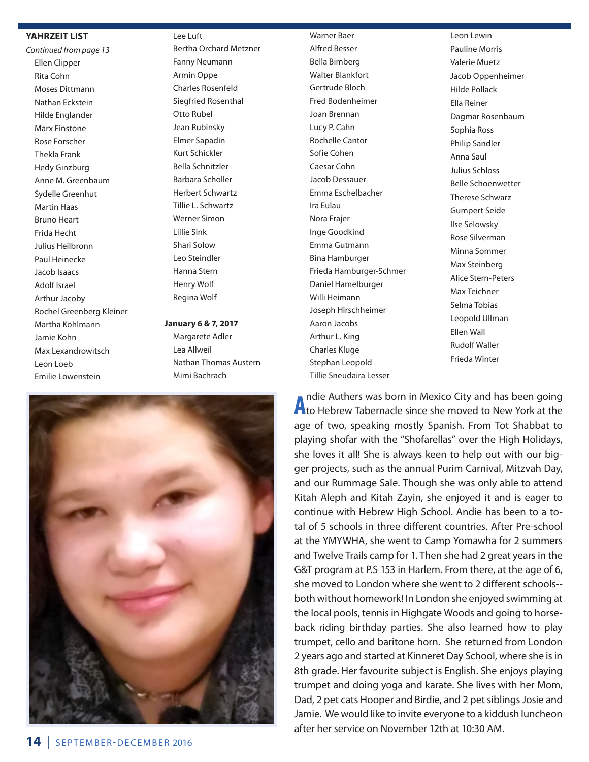#### **YAHRZEIT LIST**

*Continued from page 13* Ellen Clipper Rita Cohn Moses Dittmann Nathan Eckstein Hilde Englander Marx Finstone Rose Forscher Thekla Frank Hedy Ginzburg Anne M. Greenbaum Sydelle Greenhut Martin Haas Bruno Heart Frida Hecht Julius Heilbronn Paul Heinecke Jacob Isaacs Adolf Israel Arthur Jacoby Rochel Greenberg Kleiner Martha Kohlmann Jamie Kohn Max Lexandrowitsch Leon Loeb Emilie Lowenstein

Lee Luft Bertha Orchard Metzner Fanny Neumann Armin Oppe Charles Rosenfeld Siegfried Rosenthal Otto Rubel Jean Rubinsky Elmer Sapadin Kurt Schickler Bella Schnitzler Barbara Scholler

Herbert Schwartz Tillie L. Schwartz Werner Simon Lillie Sink Shari Solow Leo Steindler Hanna Stern Henry Wolf

Regina Wolf **January 6 & 7, 2017**

Margarete Adler Lea Allweil Nathan Thomas Austern Mimi Bachrach



 Alfred Besser Bella Bimberg Walter Blankfort Gertrude Bloch Fred Bodenheimer Joan Brennan Lucy P. Cahn Rochelle Cantor Sofie Cohen Caesar Cohn Jacob Dessauer Emma Eschelbacher Ira Eulau Nora Frajer Inge Goodkind Emma Gutmann Bina Hamburger Frieda Hamburger-Schmer Daniel Hamelburger Willi Heimann Joseph Hirschheimer Aaron Jacobs Arthur L. King Charles Kluge Stephan Leopold Tillie Sneudaira Lesser

Warner Baer

Leon Lewin Pauline Morris Valerie Muetz Jacob Oppenheimer Hilde Pollack Ella Reiner Dagmar Rosenbaum Sophia Ross Philip Sandler Anna Saul Julius Schloss Belle Schoenwetter Therese Schwarz Gumpert Seide Ilse Selowsky Rose Silverman Minna Sommer Max Steinberg Alice Stern-Peters Max Teichner Selma Tobias Leopold Ullman Ellen Wall Rudolf Waller Frieda Winter

**A** ndie Authers was born in Mexico City and has been going<br>**A** to Hebrew Tabernacle since she moved to New York at the ndie Authers was born in Mexico City and has been going age of two, speaking mostly Spanish. From Tot Shabbat to playing shofar with the "Shofarellas" over the High Holidays, she loves it all! She is always keen to help out with our bigger projects, such as the annual Purim Carnival, Mitzvah Day, and our Rummage Sale. Though she was only able to attend Kitah Aleph and Kitah Zayin, she enjoyed it and is eager to continue with Hebrew High School. Andie has been to a total of 5 schools in three different countries. After Pre-school at the YMYWHA, she went to Camp Yomawha for 2 summers and Twelve Trails camp for 1. Then she had 2 great years in the G&T program at P.S 153 in Harlem. From there, at the age of 6, she moved to London where she went to 2 different schools- both without homework! In London she enjoyed swimming at the local pools, tennis in Highgate Woods and going to horseback riding birthday parties. She also learned how to play trumpet, cello and baritone horn. She returned from London 2 years ago and started at Kinneret Day School, where she is in 8th grade. Her favourite subject is English. She enjoys playing trumpet and doing yoga and karate. She lives with her Mom, Dad, 2 pet cats Hooper and Birdie, and 2 pet siblings Josie and Jamie. We would like to invite everyone to a kiddush luncheon after her service on November 12th at 10:30 AM.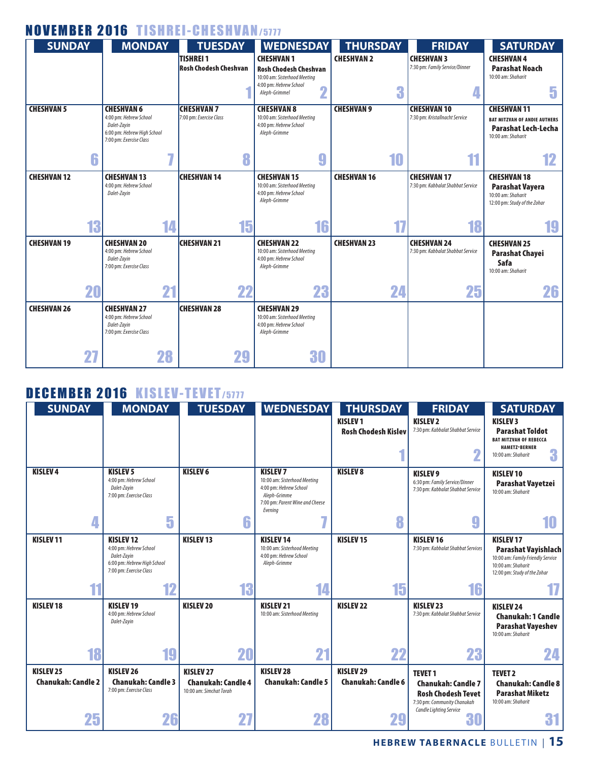## NOVEMBER 2016 TISHREI-CHESHVAN/5777

| <b>SUNDAY</b>      |    | <b>MONDAY</b>                                                                                                        |    | <b>TUESDAY</b>                                   |    | <b>WEDNESDAY</b>                                                                             | <b>THURSDAY</b>    | <b>FRIDAY</b>                                           | <b>SATURDAY</b>                                                                                               |
|--------------------|----|----------------------------------------------------------------------------------------------------------------------|----|--------------------------------------------------|----|----------------------------------------------------------------------------------------------|--------------------|---------------------------------------------------------|---------------------------------------------------------------------------------------------------------------|
|                    |    |                                                                                                                      |    | <b>TISHREI 1</b><br><b>Rosh Chodesh Cheshvan</b> |    | <b>CHESHVAN1</b><br><b>Rosh Chodesh Cheshvan</b><br>10:00 am: Sisterhood Meeting             | <b>CHESHVAN 2</b>  | <b>CHESHVAN 3</b><br>7:30 pm: Family Service/Dinner     | <b>CHESHVAN4</b><br><b>Parashat Noach</b><br>10:00 am: Shaharit                                               |
|                    |    |                                                                                                                      |    |                                                  |    | 4:00 pm: Hebrew School<br>$\overline{\mathbf{2}}$<br>Aleph-Grimmel                           | 3                  |                                                         | 5                                                                                                             |
| <b>CHESHVAN 5</b>  |    | <b>CHESHVAN 6</b><br>4:00 pm: Hebrew School<br>Dalet-Zayin<br>6:00 pm: Hebrew High School<br>7:00 pm: Exercise Class |    | <b>CHESHVAN 7</b><br>7:00 pm: Exercise Class     |    | <b>CHESHVAN 8</b><br>10:00 am: Sisterhood Meeting<br>4:00 pm: Hebrew School<br>Aleph-Grimme  | <b>CHESHVAN 9</b>  | <b>CHESHVAN 10</b><br>7:30 pm: Kristallnacht Service    | <b>CHESHVAN 11</b><br><b>BAT MITZVAH OF ANDIE AUTHERS</b><br><b>Parashat Lech-Lecha</b><br>10:00 am: Shaharit |
|                    | 6  |                                                                                                                      | 7  |                                                  |    | $\boldsymbol{9}$                                                                             | 10                 | 11                                                      | 12                                                                                                            |
| <b>CHESHVAN 12</b> |    | <b>CHESHVAN 13</b><br>4:00 pm: Hebrew School<br>Dalet-Zayin                                                          |    | <b>CHESHVAN 14</b>                               |    | <b>CHESHVAN 15</b><br>10:00 am: Sisterhood Meeting<br>4:00 pm: Hebrew School<br>Aleph-Grimme | <b>CHESHVAN 16</b> | <b>CHESHVAN 17</b><br>7:30 pm: Kabbalat Shabbat Service | <b>CHESHVAN 18</b><br><b>Parashat Vavera</b><br>10:00 am: Shaharit<br>12:00 pm: Study of the Zohar            |
|                    | 13 |                                                                                                                      | 14 |                                                  | 15 | 16                                                                                           | 17                 | 18                                                      | 19                                                                                                            |
| <b>CHESHVAN 19</b> |    | <b>CHESHVAN 20</b><br>4:00 pm: Hebrew School<br>Dalet-Zayin<br>7:00 pm: Exercise Class                               |    | <b>CHESHVAN 21</b>                               |    | <b>CHESHVAN 22</b><br>10:00 am: Sisterhood Meeting<br>4:00 pm: Hebrew School<br>Aleph-Grimme | <b>CHESHVAN 23</b> | <b>CHESHVAN 24</b><br>7:30 pm: Kabbalat Shabbat Service | <b>CHESHVAN 25</b><br><b>Parashat Chayei</b><br>Safa<br>10:00 am: Shaharit                                    |
|                    | 20 |                                                                                                                      | 21 |                                                  | 22 | 23                                                                                           | 24                 | 25                                                      | 26                                                                                                            |
| <b>CHESHVAN 26</b> |    | <b>CHESHVAN 27</b><br>4:00 pm: Hebrew School<br>Dalet-Zavin<br>7:00 pm: Exercise Class                               |    | <b>CHESHVAN 28</b>                               |    | <b>CHESHVAN 29</b><br>10:00 am: Sisterhood Meeting<br>4:00 pm: Hebrew School<br>Aleph-Grimme |                    |                                                         |                                                                                                               |
|                    | 27 |                                                                                                                      | 28 |                                                  | 29 | 30                                                                                           |                    |                                                         |                                                                                                               |

## DECEMBER 2016 KISLEV-TEVET/5777

| <b>SUNDAY</b>                                     | <b>MONDAY</b>                                                                                                      | <b>TUESDAY</b>                                                           | <b>WEDNESDAY</b>                                                                                                                        | <b>THURSDAY</b>                               | <b>FRIDAY</b>                                                                                                                      | <b>SATURDAY</b>                                                                                                                          |
|---------------------------------------------------|--------------------------------------------------------------------------------------------------------------------|--------------------------------------------------------------------------|-----------------------------------------------------------------------------------------------------------------------------------------|-----------------------------------------------|------------------------------------------------------------------------------------------------------------------------------------|------------------------------------------------------------------------------------------------------------------------------------------|
|                                                   |                                                                                                                    |                                                                          |                                                                                                                                         | <b>KISLEV1</b><br><b>Rosh Chodesh Kislev</b>  | <b>KISLEV<sub>2</sub></b><br>7:30 pm: Kabbalat Shabbat Service                                                                     | <b>KISLEV3</b><br><b>Parashat Toldot</b><br><b>BAT MITZVAH OF REBECCA</b><br><b>HAMETZ-BERNER</b><br>3<br>10:00 am: Shaharit             |
| <b>KISLEV4</b>                                    | <b>KISLEV 5</b><br>4:00 pm: Hebrew School<br>Dalet-Zayin<br>7:00 pm: Exercise Class                                | <b>KISLEV 6</b>                                                          | <b>KISLEV 7</b><br>10:00 am: Sisterhood Meeting<br>4:00 pm: Hebrew School<br>Aleph-Grimme<br>7:00 pm: Parent Wine and Cheese<br>Evenina | <b>KISLEV 8</b>                               | <b>KISLEV 9</b><br>6:30 pm: Family Service/Dinner<br>7:30 pm: Kabbalat Shabbat Service                                             | <b>KISLEV10</b><br>Parashat Vayetzei<br>10:00 am: Shaharit                                                                               |
| 4                                                 | 5                                                                                                                  |                                                                          |                                                                                                                                         | 8                                             | g                                                                                                                                  | 10                                                                                                                                       |
| <b>KISLEV11</b>                                   | <b>KISLEV12</b><br>4:00 pm: Hebrew School<br>Dalet-Zayin<br>6:00 pm: Hebrew High School<br>7:00 pm: Exercise Class | <b>KISLEV13</b>                                                          | <b>KISLEV14</b><br>10:00 am: Sisterhood Meeting<br>4:00 pm: Hebrew School<br>Aleph-Grimme                                               | <b>KISLEV15</b>                               | <b>KISLEV16</b><br>7:30 pm: Kabbalat Shabbat Services                                                                              | <b>KISLEV17</b><br><b>Parashat Vayishlach</b><br>10:00 am: Family Friendly Service<br>10:00 am: Shaharit<br>12:00 pm: Study of the Zohar |
| 11                                                | 12                                                                                                                 | 13                                                                       | 14                                                                                                                                      | 15                                            | 16                                                                                                                                 |                                                                                                                                          |
| <b>KISLEV18</b>                                   | <b>KISLEV19</b><br>4:00 pm: Hebrew School<br>Dalet-Zayin                                                           | <b>KISLEV 20</b>                                                         | KISLEV <sub>21</sub><br>10:00 am: Sisterhood Meeting                                                                                    | <b>KISLEV 22</b>                              | KISLEV <sub>23</sub><br>7:30 pm: Kabbalat Shabbat Service                                                                          | <b>KISLEV 24</b><br><b>Chanukah: 1 Candle</b><br><b>Parashat Vayeshev</b><br>10:00 am: Shaharit                                          |
| 18                                                | 19                                                                                                                 | 20                                                                       | 21                                                                                                                                      | 22                                            | 23                                                                                                                                 | 24                                                                                                                                       |
| KISLEV <sub>25</sub><br><b>Chanukah: Candle 2</b> | KISLEV <sub>26</sub><br><b>Chanukah: Candle 3</b><br>7:00 pm: Exercise Class                                       | <b>KISLEV 27</b><br><b>Chanukah: Candle 4</b><br>10:00 am: Simchat Torah | <b>KISLEV 28</b><br><b>Chanukah: Candle 5</b>                                                                                           | <b>KISLEV 29</b><br><b>Chanukah: Candle 6</b> | <b>TEVET 1</b><br><b>Chanukah: Candle 7</b><br><b>Rosh Chodesh Tevet</b><br>7:30 pm: Community Chanukah<br>Candle Lighting Service | <b>TEVET 2</b><br><b>Chanukah: Candle 8</b><br><b>Parashat Miketz</b><br>10:00 am: Shaharit                                              |
| 25                                                | 26                                                                                                                 |                                                                          | 28                                                                                                                                      | 29                                            | 51                                                                                                                                 | 61                                                                                                                                       |